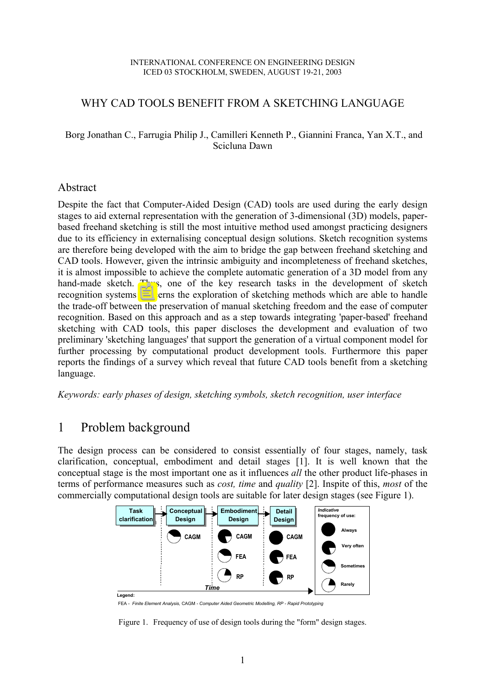#### INTERNATIONAL CONFERENCE ON ENGINEERING DESIGN ICED 03 STOCKHOLM, SWEDEN, AUGUST 19-21, 2003

## WHY CAD TOOLS BENEFIT FROM A SKETCHING LANGUAGE

#### Borg Jonathan C., Farrugia Philip J., Camilleri Kenneth P., Giannini Franca, Yan X.T., and Scicluna Dawn

#### Abstract

Despite the fact that Computer-Aided Design (CAD) tools are used during the early design stages to aid external representation with the generation of 3-dimensional (3D) models, paperbased freehand sketching is still the most intuitive method used amongst practicing designers due to its efficiency in externalising conceptual design solutions. Sketch recognition systems are therefore being developed with the aim to bridge the gap between freehand sketching and CAD tools. However, given the intrinsic ambiguity and incompleteness of freehand sketches, it is almost impossible to achieve the complete automatic generation of a 3D model from any hand-made sketch. Thus, one of the key research tasks in the development of sketch recognition systems concerns the exploration of sketching methods which are able to handle the trade-off between the preservation of manual sketching freedom and the ease of computer recognition. Based on this approach and as a step towards integrating 'paper-based' freehand sketching with CAD tools, this paper discloses the development and evaluation of two preliminary 'sketching languages' that support the generation of a virtual component model for further processing by computational product development tools. Furthermore this paper reports the findings of a survey which reveal that future CAD tools benefit from a sketching language.

*Keywords: early phases of design, sketching symbols, sketch recognition, user interface*

# 1 Problem background

The design process can be considered to consist essentially of four stages, namely, task clarification, conceptual, embodiment and detail stages [1]. It is well known that the conceptual stage is the most important one as it influences *all* the other product life-phases in terms of performance measures such as *cost, time* and *quality* [2]. Inspite of this, *most* of the commercially computational design tools are suitable for later design stages (see Figure 1).



FEA - *Finite Element Analysis,* CAGM *- Computer Aided Geometric Modelling, RP - Rapid Prototyping*

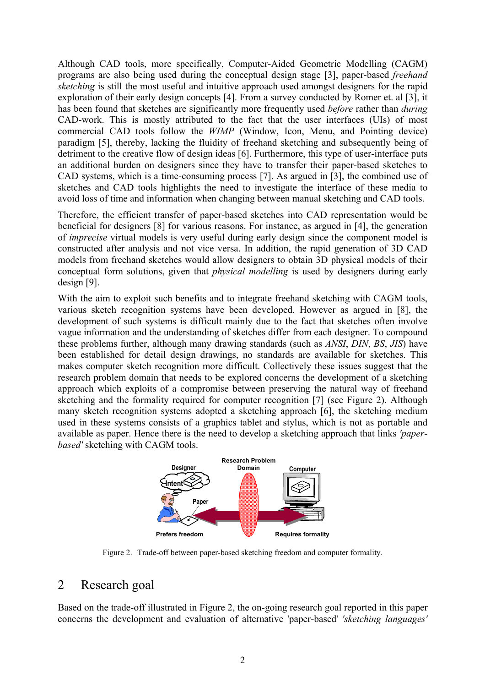Although CAD tools, more specifically, Computer-Aided Geometric Modelling (CAGM) programs are also being used during the conceptual design stage [3], paper-based *freehand sketching* is still the most useful and intuitive approach used amongst designers for the rapid exploration of their early design concepts [4]. From a survey conducted by Romer et. al [3], it has been found that sketches are significantly more frequently used *before* rather than *during* CAD-work. This is mostly attributed to the fact that the user interfaces (UIs) of most commercial CAD tools follow the *WIMP* (Window, Icon, Menu, and Pointing device) paradigm [5], thereby, lacking the fluidity of freehand sketching and subsequently being of detriment to the creative flow of design ideas [6]. Furthermore, this type of user-interface puts an additional burden on designers since they have to transfer their paper-based sketches to CAD systems, which is a time-consuming process [7]. As argued in [3], the combined use of sketches and CAD tools highlights the need to investigate the interface of these media to avoid loss of time and information when changing between manual sketching and CAD tools.

Therefore, the efficient transfer of paper-based sketches into CAD representation would be beneficial for designers [8] for various reasons. For instance, as argued in [4], the generation of *imprecise* virtual models is very useful during early design since the component model is constructed after analysis and not vice versa. In addition, the rapid generation of 3D CAD models from freehand sketches would allow designers to obtain 3D physical models of their conceptual form solutions, given that *physical modelling* is used by designers during early design [9].

With the aim to exploit such benefits and to integrate freehand sketching with CAGM tools, various sketch recognition systems have been developed. However as argued in [8], the development of such systems is difficult mainly due to the fact that sketches often involve vague information and the understanding of sketches differ from each designer. To compound these problems further, although many drawing standards (such as *ANSI*, *DIN*, *BS*, *JIS*) have been established for detail design drawings, no standards are available for sketches. This makes computer sketch recognition more difficult. Collectively these issues suggest that the research problem domain that needs to be explored concerns the development of a sketching approach which exploits of a compromise between preserving the natural way of freehand sketching and the formality required for computer recognition [7] (see Figure 2). Although many sketch recognition systems adopted a sketching approach [6], the sketching medium used in these systems consists of a graphics tablet and stylus, which is not as portable and available as paper. Hence there is the need to develop a sketching approach that links *'paperbased'* sketching with CAGM tools.



Figure 2. Trade-off between paper-based sketching freedom and computer formality.

## 2 Research goal

Based on the trade-off illustrated in Figure 2, the on-going research goal reported in this paper concerns the development and evaluation of alternative 'paper-based' *'sketching languages'*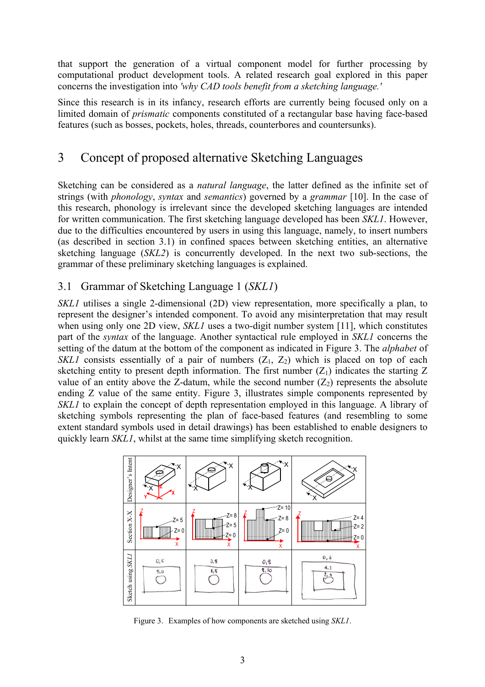that support the generation of a virtual component model for further processing by computational product development tools. A related research goal explored in this paper concerns the investigation into *'why CAD tools benefit from a sketching language.'*

Since this research is in its infancy, research efforts are currently being focused only on a limited domain of *prismatic* components constituted of a rectangular base having face-based features (such as bosses, pockets, holes, threads, counterbores and countersunks).

# 3 Concept of proposed alternative Sketching Languages

Sketching can be considered as a *natural language*, the latter defined as the infinite set of strings (with *phonology*, *syntax* and *semantics*) governed by a *grammar* [10]. In the case of this research, phonology is irrelevant since the developed sketching languages are intended for written communication. The first sketching language developed has been *SKL1*. However, due to the difficulties encountered by users in using this language, namely, to insert numbers (as described in section 3.1) in confined spaces between sketching entities, an alternative sketching language (*SKL2*) is concurrently developed. In the next two sub-sections, the grammar of these preliminary sketching languages is explained.

### 3.1 Grammar of Sketching Language 1 (*SKL1*)

*SKL1* utilises a single 2-dimensional (2D) view representation, more specifically a plan, to represent the designer's intended component. To avoid any misinterpretation that may result when using only one 2D view, *SKL1* uses a two-digit number system [11], which constitutes part of the *syntax* of the language. Another syntactical rule employed in *SKL1* concerns the setting of the datum at the bottom of the component as indicated in Figure 3. The *alphabet* of *SKL1* consists essentially of a pair of numbers  $(Z_1, Z_2)$  which is placed on top of each sketching entity to present depth information. The first number  $(Z_1)$  indicates the starting Z value of an entity above the Z-datum, while the second number  $(Z_2)$  represents the absolute ending Z value of the same entity. Figure 3, illustrates simple components represented by *SKL1* to explain the concept of depth representation employed in this language. A library of sketching symbols representing the plan of face-based features (and resembling to some extent standard symbols used in detail drawings) has been established to enable designers to quickly learn *SKL1*, whilst at the same time simplifying sketch recognition.



Figure 3. Examples of how components are sketched using *SKL1*.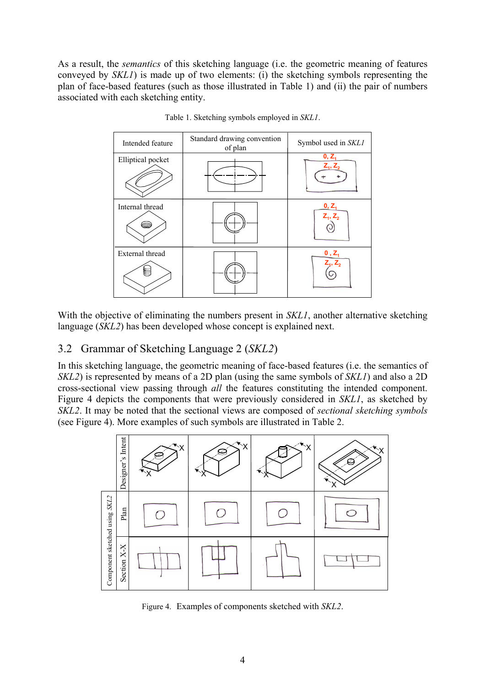As a result, the *semantics* of this sketching language (i.e. the geometric meaning of features conveyed by *SKL1*) is made up of two elements: (i) the sketching symbols representing the plan of face-based features (such as those illustrated in Table 1) and (ii) the pair of numbers associated with each sketching entity.



Table 1. Sketching symbols employed in *SKL1*.

With the objective of eliminating the numbers present in *SKL1*, another alternative sketching language (*SKL2*) has been developed whose concept is explained next.

## 3.2 Grammar of Sketching Language 2 (*SKL2*)

In this sketching language, the geometric meaning of face-based features (i.e. the semantics of *SKL2*) is represented by means of a 2D plan (using the same symbols of *SKL1*) and also a 2D cross-sectional view passing through *all* the features constituting the intended component. Figure 4 depicts the components that were previously considered in *SKL1*, as sketched by *SKL2*. It may be noted that the sectional views are composed of *sectional sketching symbols* (see Figure 4). More examples of such symbols are illustrated in Table 2.



Figure 4. Examples of components sketched with *SKL2*.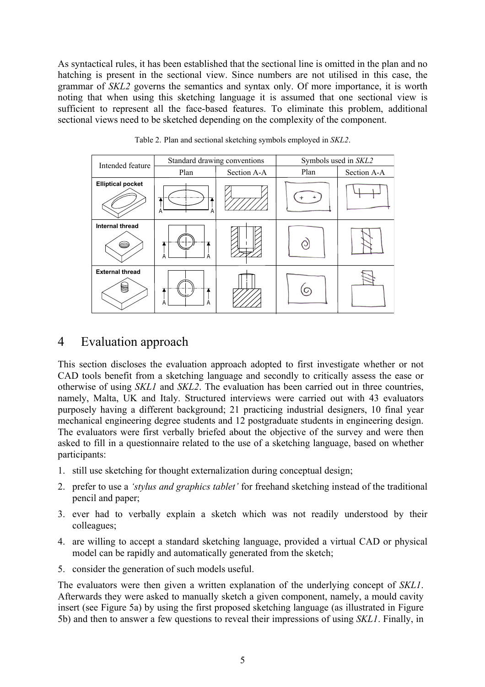As syntactical rules, it has been established that the sectional line is omitted in the plan and no hatching is present in the sectional view. Since numbers are not utilised in this case, the grammar of *SKL2* governs the semantics and syntax only. Of more importance, it is worth noting that when using this sketching language it is assumed that one sectional view is sufficient to represent all the face-based features. To eliminate this problem, additional sectional views need to be sketched depending on the complexity of the component.

| Intended feature         | Standard drawing conventions |             | Symbols used in SKL2 |             |  |  |
|--------------------------|------------------------------|-------------|----------------------|-------------|--|--|
|                          | Plan                         | Section A-A |                      | Section A-A |  |  |
| <b>Elliptical pocket</b> | 7<br>Α<br>Α                  |             |                      |             |  |  |
| Internal thread<br>6     | Α                            |             |                      |             |  |  |
| <b>External thread</b>   | A<br>А                       |             |                      |             |  |  |

Table 2. Plan and sectional sketching symbols employed in *SKL2*.

## 4 Evaluation approach

This section discloses the evaluation approach adopted to first investigate whether or not CAD tools benefit from a sketching language and secondly to critically assess the ease or otherwise of using *SKL1* and *SKL2*. The evaluation has been carried out in three countries, namely, Malta, UK and Italy. Structured interviews were carried out with 43 evaluators purposely having a different background; 21 practicing industrial designers, 10 final year mechanical engineering degree students and 12 postgraduate students in engineering design. The evaluators were first verbally briefed about the objective of the survey and were then asked to fill in a questionnaire related to the use of a sketching language, based on whether participants:

- 1. still use sketching for thought externalization during conceptual design;
- 2. prefer to use a *'stylus and graphics tablet'* for freehand sketching instead of the traditional pencil and paper;
- 3. ever had to verbally explain a sketch which was not readily understood by their colleagues;
- 4. are willing to accept a standard sketching language, provided a virtual CAD or physical model can be rapidly and automatically generated from the sketch;
- 5. consider the generation of such models useful.

The evaluators were then given a written explanation of the underlying concept of *SKL1*. Afterwards they were asked to manually sketch a given component, namely, a mould cavity insert (see Figure 5a) by using the first proposed sketching language (as illustrated in Figure 5b) and then to answer a few questions to reveal their impressions of using *SKL1*. Finally, in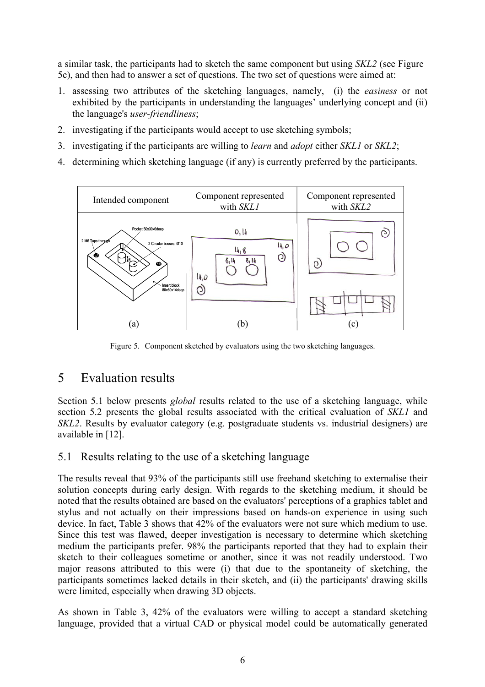a similar task, the participants had to sketch the same component but using *SKL2* (see Figure 5c), and then had to answer a set of questions. The two set of questions were aimed at:

- 1. assessing two attributes of the sketching languages, namely, (i) the *easiness* or not exhibited by the participants in understanding the languages' underlying concept and (ii) the language's *user-friendliness*;
- 2. investigating if the participants would accept to use sketching symbols;
- 3. investigating if the participants are willing to *learn* and *adopt* either *SKL1* or *SKL2*;
- 4. determining which sketching language (if any) is currently preferred by the participants.



Figure 5. Component sketched by evaluators using the two sketching languages.

# 5 Evaluation results

Section 5.1 below presents *global* results related to the use of a sketching language, while section 5.2 presents the global results associated with the critical evaluation of *SKL1* and *SKL2*. Results by evaluator category (e.g. postgraduate students vs. industrial designers) are available in [12].

### 5.1 Results relating to the use of a sketching language

The results reveal that 93% of the participants still use freehand sketching to externalise their solution concepts during early design. With regards to the sketching medium, it should be noted that the results obtained are based on the evaluators' perceptions of a graphics tablet and stylus and not actually on their impressions based on hands-on experience in using such device. In fact, Table 3 shows that 42% of the evaluators were not sure which medium to use. Since this test was flawed, deeper investigation is necessary to determine which sketching medium the participants prefer. 98% the participants reported that they had to explain their sketch to their colleagues sometime or another, since it was not readily understood. Two major reasons attributed to this were (i) that due to the spontaneity of sketching, the participants sometimes lacked details in their sketch, and (ii) the participants' drawing skills were limited, especially when drawing 3D objects.

As shown in Table 3, 42% of the evaluators were willing to accept a standard sketching language, provided that a virtual CAD or physical model could be automatically generated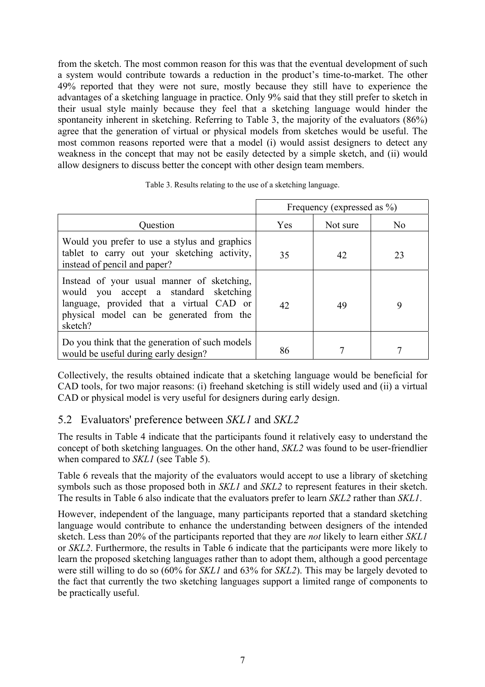from the sketch. The most common reason for this was that the eventual development of such a system would contribute towards a reduction in the product's time-to-market. The other 49% reported that they were not sure, mostly because they still have to experience the advantages of a sketching language in practice. Only 9% said that they still prefer to sketch in their usual style mainly because they feel that a sketching language would hinder the spontaneity inherent in sketching. Referring to Table 3, the majority of the evaluators (86%) agree that the generation of virtual or physical models from sketches would be useful. The most common reasons reported were that a model (i) would assist designers to detect any weakness in the concept that may not be easily detected by a simple sketch, and (ii) would allow designers to discuss better the concept with other design team members.

|                                                                                                                                                                                        | Frequency (expressed as %) |          |                |
|----------------------------------------------------------------------------------------------------------------------------------------------------------------------------------------|----------------------------|----------|----------------|
| Question                                                                                                                                                                               | <b>Yes</b>                 | Not sure | N <sub>0</sub> |
| Would you prefer to use a stylus and graphics<br>tablet to carry out your sketching activity,<br>instead of pencil and paper?                                                          | 35                         | 42       | 23             |
| Instead of your usual manner of sketching,<br>would you accept a standard sketching<br>language, provided that a virtual CAD or<br>physical model can be generated from the<br>sketch? | 42                         | 49       | 9              |
| Do you think that the generation of such models<br>would be useful during early design?                                                                                                | 86                         |          |                |

Table 3. Results relating to the use of a sketching language.

Collectively, the results obtained indicate that a sketching language would be beneficial for CAD tools, for two major reasons: (i) freehand sketching is still widely used and (ii) a virtual CAD or physical model is very useful for designers during early design.

### 5.2 Evaluators' preference between *SKL1* and *SKL2*

The results in Table 4 indicate that the participants found it relatively easy to understand the concept of both sketching languages. On the other hand, *SKL2* was found to be user-friendlier when compared to *SKL1* (see Table 5).

Table 6 reveals that the majority of the evaluators would accept to use a library of sketching symbols such as those proposed both in *SKL1* and *SKL2* to represent features in their sketch. The results in Table 6 also indicate that the evaluators prefer to learn *SKL2* rather than *SKL1*.

However, independent of the language, many participants reported that a standard sketching language would contribute to enhance the understanding between designers of the intended sketch. Less than 20% of the participants reported that they are *not* likely to learn either *SKL1* or *SKL2*. Furthermore, the results in Table 6 indicate that the participants were more likely to learn the proposed sketching languages rather than to adopt them, although a good percentage were still willing to do so (60% for *SKL1* and 63% for *SKL2*). This may be largely devoted to the fact that currently the two sketching languages support a limited range of components to be practically useful.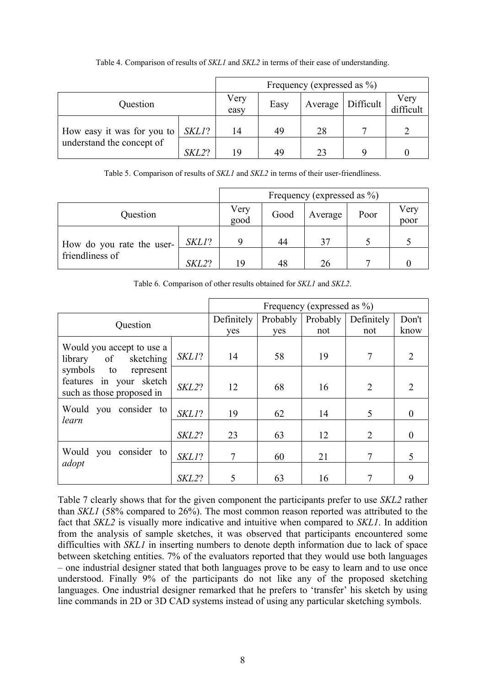|                            | Frequency (expressed as $\%$ ) |              |      |         |           |                   |
|----------------------------|--------------------------------|--------------|------|---------|-----------|-------------------|
| Question                   |                                | Very<br>easy | Easy | Average | Difficult | Very<br>difficult |
| How easy it was for you to | SKL1?                          | 14           | 49   | 28      | −         |                   |
| understand the concept of  | SKL2?                          | 19           | 49   | つる      | Q         |                   |

Table 4. Comparison of results of *SKL1* and *SKL2* in terms of their ease of understanding.

Table 5. Comparison of results of *SKL1* and *SKL2* in terms of their user-friendliness.

|                                              |       | Frequency (expressed as $\%$ ) |      |         |      |              |
|----------------------------------------------|-------|--------------------------------|------|---------|------|--------------|
| Question                                     |       | Very<br>good                   | Good | Average | Poor | Very<br>poor |
| How do you rate the user-<br>friendliness of | SKL1? |                                | 44   | 37      |      |              |
|                                              | SKL2? | 19                             | 48   | 26      |      |              |

Table 6. Comparison of other results obtained for *SKL1* and *SKL2*.

|                                                                                                                                         | Frequency (expressed as %) |            |          |          |                |                |
|-----------------------------------------------------------------------------------------------------------------------------------------|----------------------------|------------|----------|----------|----------------|----------------|
| Question                                                                                                                                |                            | Definitely | Probably | Probably | Definitely     | Don't          |
|                                                                                                                                         |                            | yes        | yes      | not      | not            | know           |
| Would you accept to use a<br>of sketching<br>library<br>symbols to<br>represent<br>features in your sketch<br>such as those proposed in | $SKLI$ ?                   | 14         | 58       | 19       | 7              | $\overline{2}$ |
|                                                                                                                                         | SKL2?                      | 12         | 68       | 16       | 2              | 2              |
| Would you consider to<br>learn                                                                                                          | SKL1?                      | 19         | 62       | 14       | 5              | $\Omega$       |
|                                                                                                                                         | SKL2?                      | 23         | 63       | 12       | $\overline{2}$ | $\Omega$       |
| you consider to<br>Would<br>adopt                                                                                                       | SKL1?                      |            | 60       | 21       |                |                |
|                                                                                                                                         | SKL2?                      |            | 63       | 16       |                | 9              |

Table 7 clearly shows that for the given component the participants prefer to use *SKL2* rather than *SKL1* (58% compared to 26%). The most common reason reported was attributed to the fact that *SKL2* is visually more indicative and intuitive when compared to *SKL1*. In addition from the analysis of sample sketches, it was observed that participants encountered some difficulties with *SKL1* in inserting numbers to denote depth information due to lack of space between sketching entities. 7% of the evaluators reported that they would use both languages – one industrial designer stated that both languages prove to be easy to learn and to use once understood. Finally 9% of the participants do not like any of the proposed sketching languages. One industrial designer remarked that he prefers to 'transfer' his sketch by using line commands in 2D or 3D CAD systems instead of using any particular sketching symbols.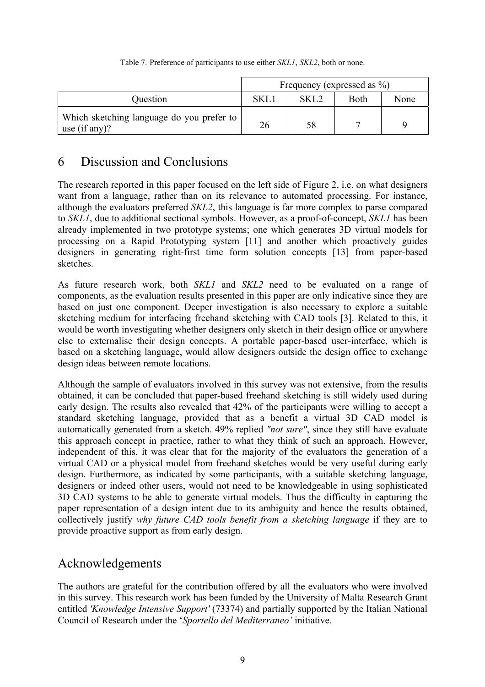#### Table 7. Preference of participants to use either *SKL1*, *SKL2*, both or none.

|                                                            | Frequency (expressed as $\%$ ) |                  |      |      |  |
|------------------------------------------------------------|--------------------------------|------------------|------|------|--|
| Question                                                   | SKL                            | SKL <sub>2</sub> | Both | None |  |
| Which sketching language do you prefer to<br>use (if any)? | 26                             | 58               |      |      |  |

# 6 Discussion and Conclusions

The research reported in this paper focused on the left side of Figure 2, i.e. on what designers want from a language, rather than on its relevance to automated processing. For instance, although the evaluators preferred *SKL2*, this language is far more complex to parse compared to *SKL1*, due to additional sectional symbols. However, as a proof-of-concept, *SKL1* has been already implemented in two prototype systems; one which generates 3D virtual models for processing on a Rapid Prototyping system [11] and another which proactively guides designers in generating right-first time form solution concepts [13] from paper-based sketches.

As future research work, both *SKL1* and *SKL2* need to be evaluated on a range of components, as the evaluation results presented in this paper are only indicative since they are based on just one component. Deeper investigation is also necessary to explore a suitable sketching medium for interfacing freehand sketching with CAD tools [3]. Related to this, it would be worth investigating whether designers only sketch in their design office or anywhere else to externalise their design concepts. A portable paper-based user-interface, which is based on a sketching language, would allow designers outside the design office to exchange design ideas between remote locations.

Although the sample of evaluators involved in this survey was not extensive, from the results obtained, it can be concluded that paper-based freehand sketching is still widely used during early design. The results also revealed that 42% of the participants were willing to accept a standard sketching language, provided that as a benefit a virtual 3D CAD model is automatically generated from a sketch. 49% replied *"not sure"*, since they still have evaluate this approach concept in practice, rather to what they think of such an approach. However, independent of this, it was clear that for the majority of the evaluators the generation of a virtual CAD or a physical model from freehand sketches would be very useful during early design. Furthermore, as indicated by some participants, with a suitable sketching language, designers or indeed other users, would not need to be knowledgeable in using sophisticated 3D CAD systems to be able to generate virtual models. Thus the difficulty in capturing the paper representation of a design intent due to its ambiguity and hence the results obtained, collectively justify *why future CAD tools benefit from a sketching language* if they are to provide proactive support as from early design.

# Acknowledgements

The authors are grateful for the contribution offered by all the evaluators who were involved in this survey. This research work has been funded by the University of Malta Research Grant entitled *'Knowledge Intensive Support'* (73374) and partially supported by the Italian National Council of Research under the '*Sportello del Mediterraneo'* initiative.